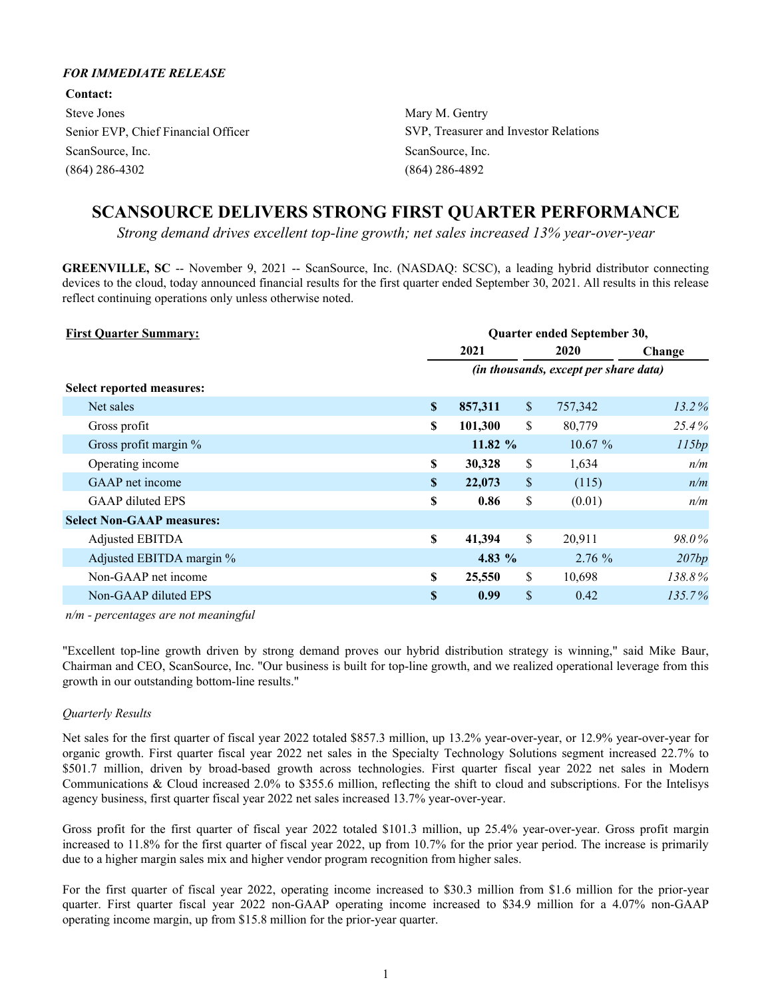### *FOR IMMEDIATE RELEASE*

**Contact:** Steve Jones Mary M. Gentry ScanSource, Inc. ScanSource, Inc. ScanSource, Inc. (864) 286-4302 (864) 286-4892

Senior EVP, Chief Financial Officer SVP, Treasurer and Investor Relations

# **SCANSOURCE DELIVERS STRONG FIRST QUARTER PERFORMANCE**

*Strong demand drives excellent top-line growth; net sales increased 13% year-over-year*

**GREENVILLE, SC** -- November 9, 2021 -- ScanSource, Inc. (NASDAQ: SCSC), a leading hybrid distributor connecting devices to the cloud, today announced financial results for the first quarter ended September 30, 2021. All results in this release reflect continuing operations only unless otherwise noted.

| <b>First Quarter Summary:</b>    | Quarter ended September 30, |          |                                       |           |        |  |  |  |  |
|----------------------------------|-----------------------------|----------|---------------------------------------|-----------|--------|--|--|--|--|
|                                  |                             | 2021     |                                       | 2020      | Change |  |  |  |  |
|                                  |                             |          | (in thousands, except per share data) |           |        |  |  |  |  |
| <b>Select reported measures:</b> |                             |          |                                       |           |        |  |  |  |  |
| Net sales                        | \$                          | 857,311  | $\mathbb{S}$                          | 757,342   | 13.2%  |  |  |  |  |
| Gross profit                     | S.                          | 101,300  | \$                                    | 80,779    | 25.4%  |  |  |  |  |
| Gross profit margin %            |                             | 11.82 %  |                                       | $10.67\%$ | 115bp  |  |  |  |  |
| Operating income                 | \$                          | 30,328   | \$                                    | 1,634     | n/m    |  |  |  |  |
| GAAP net income                  | S                           | 22,073   | \$                                    | (115)     | n/m    |  |  |  |  |
| <b>GAAP</b> diluted EPS          | \$                          | 0.86     | \$                                    | (0.01)    | n/m    |  |  |  |  |
| <b>Select Non-GAAP measures:</b> |                             |          |                                       |           |        |  |  |  |  |
| Adjusted EBITDA                  | \$                          | 41,394   | \$                                    | 20,911    | 98.0%  |  |  |  |  |
| Adjusted EBITDA margin %         |                             | 4.83 $%$ |                                       | $2.76\%$  | 207bp  |  |  |  |  |
| Non-GAAP net income              | \$                          | 25,550   | \$                                    | 10,698    | 138.8% |  |  |  |  |
| Non-GAAP diluted EPS             | \$                          | 0.99     | $\mathbb{S}$                          | 0.42      | 135.7% |  |  |  |  |

*n/m - percentages are not meaningful*

"Excellent top-line growth driven by strong demand proves our hybrid distribution strategy is winning," said Mike Baur, Chairman and CEO, ScanSource, Inc. "Our business is built for top-line growth, and we realized operational leverage from this growth in our outstanding bottom-line results."

### *Quarterly Results*

Net sales for the first quarter of fiscal year 2022 totaled \$857.3 million, up 13.2% year-over-year, or 12.9% year-over-year for organic growth. First quarter fiscal year 2022 net sales in the Specialty Technology Solutions segment increased 22.7% to \$501.7 million, driven by broad-based growth across technologies. First quarter fiscal year 2022 net sales in Modern Communications & Cloud increased 2.0% to \$355.6 million, reflecting the shift to cloud and subscriptions. For the Intelisys agency business, first quarter fiscal year 2022 net sales increased 13.7% year-over-year.

Gross profit for the first quarter of fiscal year 2022 totaled \$101.3 million, up 25.4% year-over-year. Gross profit margin increased to 11.8% for the first quarter of fiscal year 2022, up from 10.7% for the prior year period. The increase is primarily due to a higher margin sales mix and higher vendor program recognition from higher sales.

For the first quarter of fiscal year 2022, operating income increased to \$30.3 million from \$1.6 million for the prior-year quarter. First quarter fiscal year 2022 non-GAAP operating income increased to \$34.9 million for a 4.07% non-GAAP operating income margin, up from \$15.8 million for the prior-year quarter.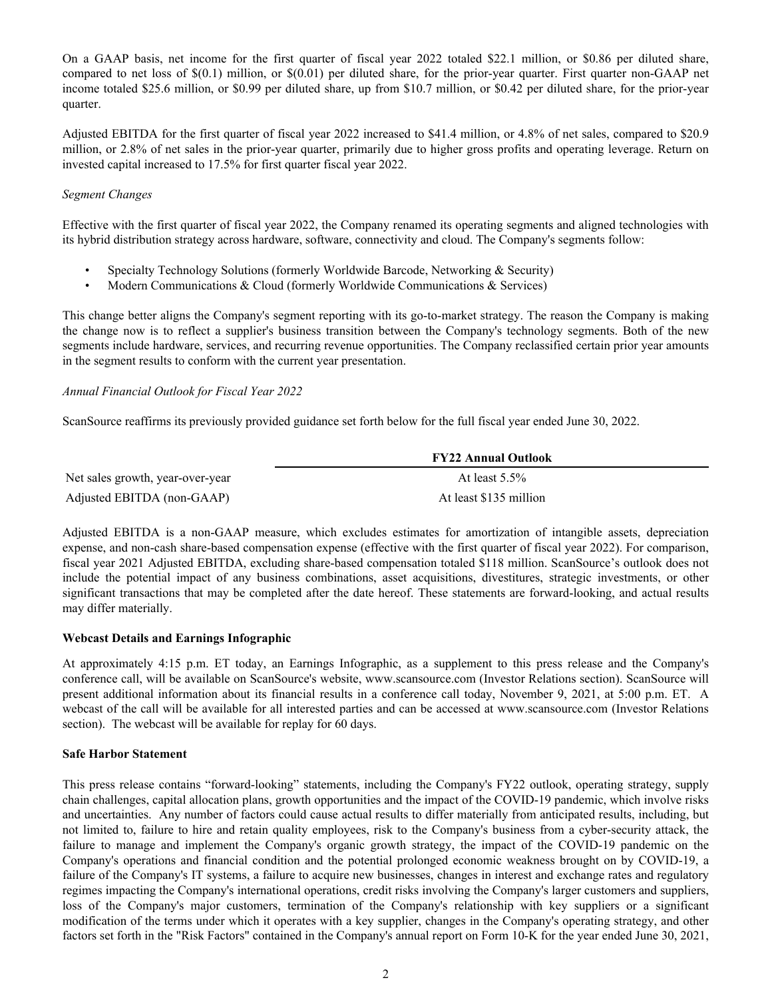On a GAAP basis, net income for the first quarter of fiscal year 2022 totaled \$22.1 million, or \$0.86 per diluted share, compared to net loss of  $\S(0.1)$  million, or  $\S(0.01)$  per diluted share, for the prior-year quarter. First quarter non-GAAP net income totaled \$25.6 million, or \$0.99 per diluted share, up from \$10.7 million, or \$0.42 per diluted share, for the prior-year quarter.

Adjusted EBITDA for the first quarter of fiscal year 2022 increased to \$41.4 million, or 4.8% of net sales, compared to \$20.9 million, or 2.8% of net sales in the prior-year quarter, primarily due to higher gross profits and operating leverage. Return on invested capital increased to 17.5% for first quarter fiscal year 2022.

### *Segment Changes*

Effective with the first quarter of fiscal year 2022, the Company renamed its operating segments and aligned technologies with its hybrid distribution strategy across hardware, software, connectivity and cloud. The Company's segments follow:

- Specialty Technology Solutions (formerly Worldwide Barcode, Networking & Security)
- Modern Communications & Cloud (formerly Worldwide Communications & Services)

This change better aligns the Company's segment reporting with its go-to-market strategy. The reason the Company is making the change now is to reflect a supplier's business transition between the Company's technology segments. Both of the new segments include hardware, services, and recurring revenue opportunities. The Company reclassified certain prior year amounts in the segment results to conform with the current year presentation.

### *Annual Financial Outlook for Fiscal Year 2022*

ScanSource reaffirms its previously provided guidance set forth below for the full fiscal year ended June 30, 2022.

|                                  | <b>FY22 Annual Outlook</b> |  |
|----------------------------------|----------------------------|--|
| Net sales growth, year-over-year | At least $5.5\%$           |  |
| Adjusted EBITDA (non-GAAP)       | At least \$135 million     |  |

Adjusted EBITDA is a non-GAAP measure, which excludes estimates for amortization of intangible assets, depreciation expense, and non-cash share-based compensation expense (effective with the first quarter of fiscal year 2022). For comparison, fiscal year 2021 Adjusted EBITDA, excluding share-based compensation totaled \$118 million. ScanSource's outlook does not include the potential impact of any business combinations, asset acquisitions, divestitures, strategic investments, or other significant transactions that may be completed after the date hereof. These statements are forward-looking, and actual results may differ materially.

### **Webcast Details and Earnings Infographic**

At approximately 4:15 p.m. ET today, an Earnings Infographic, as a supplement to this press release and the Company's conference call, will be available on ScanSource's website, www.scansource.com (Investor Relations section). ScanSource will present additional information about its financial results in a conference call today, November 9, 2021, at 5:00 p.m. ET. A webcast of the call will be available for all interested parties and can be accessed at www.scansource.com (Investor Relations section). The webcast will be available for replay for 60 days.

#### **Safe Harbor Statement**

This press release contains "forward-looking" statements, including the Company's FY22 outlook, operating strategy, supply chain challenges, capital allocation plans, growth opportunities and the impact of the COVID-19 pandemic, which involve risks and uncertainties. Any number of factors could cause actual results to differ materially from anticipated results, including, but not limited to, failure to hire and retain quality employees, risk to the Company's business from a cyber-security attack, the failure to manage and implement the Company's organic growth strategy, the impact of the COVID-19 pandemic on the Company's operations and financial condition and the potential prolonged economic weakness brought on by COVID-19, a failure of the Company's IT systems, a failure to acquire new businesses, changes in interest and exchange rates and regulatory regimes impacting the Company's international operations, credit risks involving the Company's larger customers and suppliers, loss of the Company's major customers, termination of the Company's relationship with key suppliers or a significant modification of the terms under which it operates with a key supplier, changes in the Company's operating strategy, and other factors set forth in the "Risk Factors" contained in the Company's annual report on Form 10-K for the year ended June 30, 2021,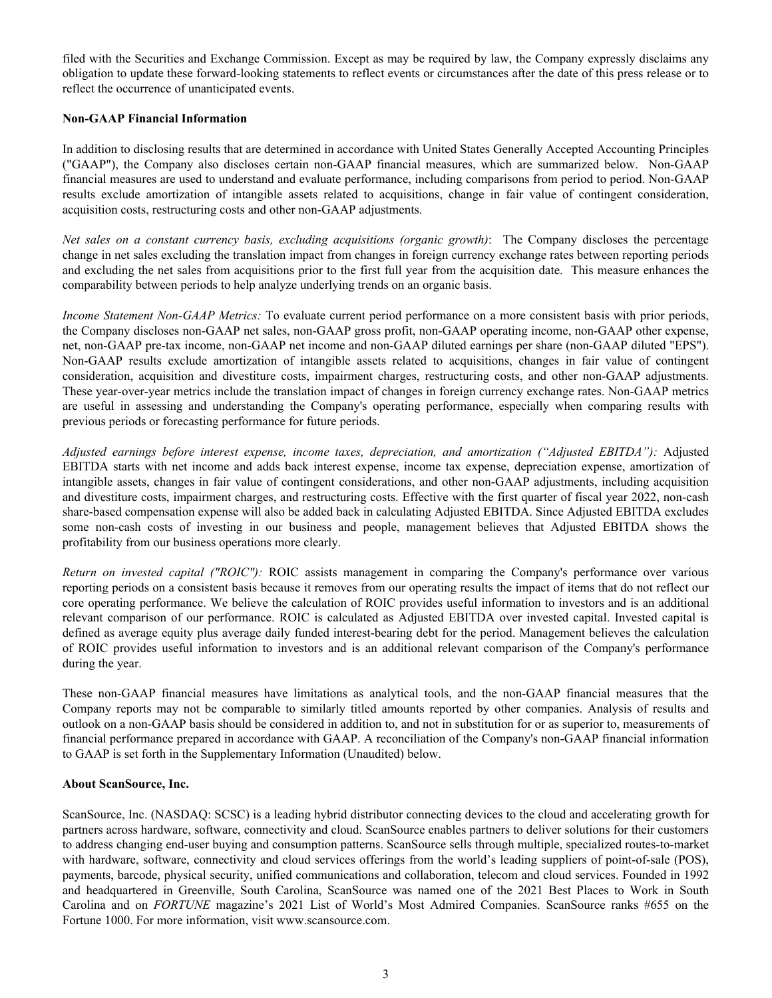filed with the Securities and Exchange Commission. Except as may be required by law, the Company expressly disclaims any obligation to update these forward-looking statements to reflect events or circumstances after the date of this press release or to reflect the occurrence of unanticipated events.

### **Non-GAAP Financial Information**

In addition to disclosing results that are determined in accordance with United States Generally Accepted Accounting Principles ("GAAP"), the Company also discloses certain non-GAAP financial measures, which are summarized below. Non-GAAP financial measures are used to understand and evaluate performance, including comparisons from period to period. Non-GAAP results exclude amortization of intangible assets related to acquisitions, change in fair value of contingent consideration, acquisition costs, restructuring costs and other non-GAAP adjustments.

*Net sales on a constant currency basis, excluding acquisitions (organic growth)*: The Company discloses the percentage change in net sales excluding the translation impact from changes in foreign currency exchange rates between reporting periods and excluding the net sales from acquisitions prior to the first full year from the acquisition date. This measure enhances the comparability between periods to help analyze underlying trends on an organic basis.

*Income Statement Non-GAAP Metrics:* To evaluate current period performance on a more consistent basis with prior periods, the Company discloses non-GAAP net sales, non-GAAP gross profit, non-GAAP operating income, non-GAAP other expense, net, non-GAAP pre-tax income, non-GAAP net income and non-GAAP diluted earnings per share (non-GAAP diluted "EPS"). Non-GAAP results exclude amortization of intangible assets related to acquisitions, changes in fair value of contingent consideration, acquisition and divestiture costs, impairment charges, restructuring costs, and other non-GAAP adjustments. These year-over-year metrics include the translation impact of changes in foreign currency exchange rates. Non-GAAP metrics are useful in assessing and understanding the Company's operating performance, especially when comparing results with previous periods or forecasting performance for future periods.

*Adjusted earnings before interest expense, income taxes, depreciation, and amortization ("Adjusted EBITDA"):* Adjusted EBITDA starts with net income and adds back interest expense, income tax expense, depreciation expense, amortization of intangible assets, changes in fair value of contingent considerations, and other non-GAAP adjustments, including acquisition and divestiture costs, impairment charges, and restructuring costs. Effective with the first quarter of fiscal year 2022, non-cash share-based compensation expense will also be added back in calculating Adjusted EBITDA. Since Adjusted EBITDA excludes some non-cash costs of investing in our business and people, management believes that Adjusted EBITDA shows the profitability from our business operations more clearly.

*Return on invested capital ("ROIC"):* ROIC assists management in comparing the Company's performance over various reporting periods on a consistent basis because it removes from our operating results the impact of items that do not reflect our core operating performance. We believe the calculation of ROIC provides useful information to investors and is an additional relevant comparison of our performance. ROIC is calculated as Adjusted EBITDA over invested capital. Invested capital is defined as average equity plus average daily funded interest-bearing debt for the period. Management believes the calculation of ROIC provides useful information to investors and is an additional relevant comparison of the Company's performance during the year.

These non-GAAP financial measures have limitations as analytical tools, and the non-GAAP financial measures that the Company reports may not be comparable to similarly titled amounts reported by other companies. Analysis of results and outlook on a non-GAAP basis should be considered in addition to, and not in substitution for or as superior to, measurements of financial performance prepared in accordance with GAAP. A reconciliation of the Company's non-GAAP financial information to GAAP is set forth in the Supplementary Information (Unaudited) below.

### **About ScanSource, Inc.**

ScanSource, Inc. (NASDAQ: SCSC) is a leading hybrid distributor connecting devices to the cloud and accelerating growth for partners across hardware, software, connectivity and cloud. ScanSource enables partners to deliver solutions for their customers to address changing end-user buying and consumption patterns. ScanSource sells through multiple, specialized routes-to-market with hardware, software, connectivity and cloud services offerings from the world's leading suppliers of point-of-sale (POS), payments, barcode, physical security, unified communications and collaboration, telecom and cloud services. Founded in 1992 and headquartered in Greenville, South Carolina, ScanSource was named one of the 2021 Best Places to Work in South Carolina and on *FORTUNE* magazine's 2021 List of World's Most Admired Companies. ScanSource ranks #655 on the Fortune 1000. For more information, visit www.scansource.com.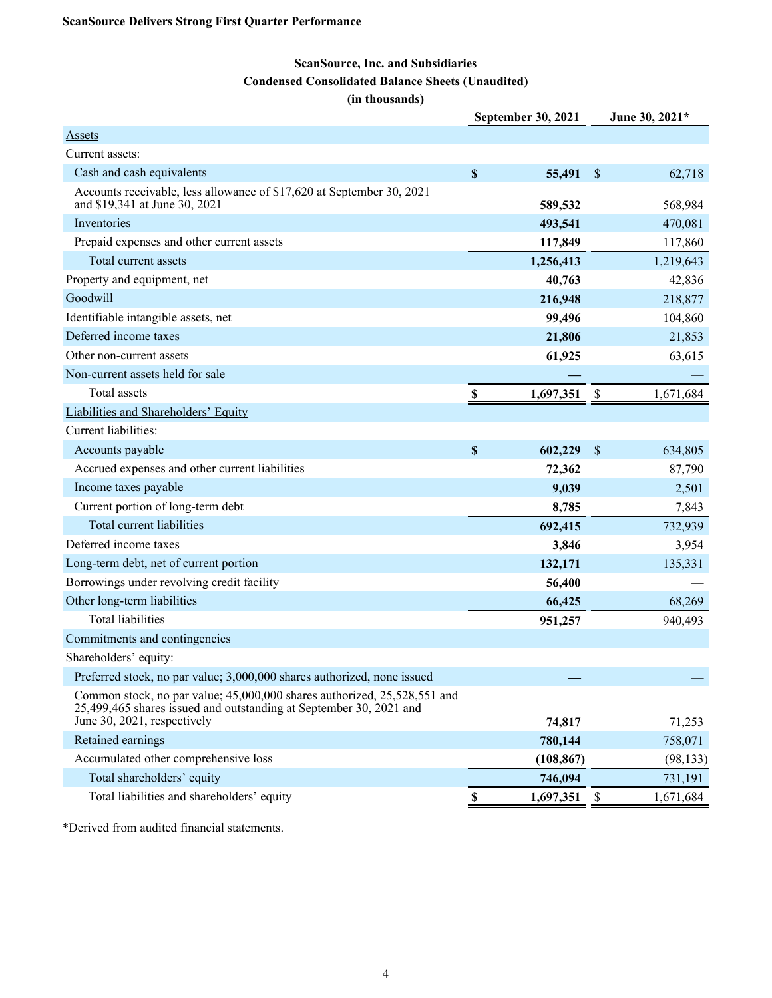# **ScanSource, Inc. and Subsidiaries Condensed Consolidated Balance Sheets (Unaudited)**

**(in thousands)**

|                                                                                                                                                                               | <b>September 30, 2021</b> |            |                           | June 30, 2021* |
|-------------------------------------------------------------------------------------------------------------------------------------------------------------------------------|---------------------------|------------|---------------------------|----------------|
| <b>Assets</b>                                                                                                                                                                 |                           |            |                           |                |
| Current assets:                                                                                                                                                               |                           |            |                           |                |
| Cash and cash equivalents                                                                                                                                                     | $\mathbb S$               | 55,491     | $\sqrt{3}$                | 62,718         |
| Accounts receivable, less allowance of \$17,620 at September 30, 2021<br>and \$19,341 at June 30, 2021                                                                        |                           | 589,532    |                           | 568,984        |
| Inventories                                                                                                                                                                   |                           | 493,541    |                           | 470,081        |
| Prepaid expenses and other current assets                                                                                                                                     |                           | 117,849    |                           | 117,860        |
| Total current assets                                                                                                                                                          |                           | 1,256,413  |                           | 1,219,643      |
| Property and equipment, net                                                                                                                                                   |                           | 40,763     |                           | 42,836         |
| Goodwill                                                                                                                                                                      |                           | 216,948    |                           | 218,877        |
| Identifiable intangible assets, net                                                                                                                                           |                           | 99,496     |                           | 104,860        |
| Deferred income taxes                                                                                                                                                         |                           | 21,806     |                           | 21,853         |
| Other non-current assets                                                                                                                                                      |                           | 61,925     |                           | 63,615         |
| Non-current assets held for sale                                                                                                                                              |                           |            |                           |                |
| Total assets                                                                                                                                                                  | S,                        | 1,697,351  | \$                        | 1,671,684      |
| Liabilities and Shareholders' Equity                                                                                                                                          |                           |            |                           |                |
| Current liabilities:                                                                                                                                                          |                           |            |                           |                |
| Accounts payable                                                                                                                                                              | \$                        | 602,229    | $\sqrt{3}$                | 634,805        |
| Accrued expenses and other current liabilities                                                                                                                                |                           | 72,362     |                           | 87,790         |
| Income taxes payable                                                                                                                                                          |                           | 9,039      |                           | 2,501          |
| Current portion of long-term debt                                                                                                                                             |                           | 8,785      |                           | 7,843          |
| Total current liabilities                                                                                                                                                     |                           | 692,415    |                           | 732,939        |
| Deferred income taxes                                                                                                                                                         |                           | 3,846      |                           | 3,954          |
| Long-term debt, net of current portion                                                                                                                                        |                           | 132,171    |                           | 135,331        |
| Borrowings under revolving credit facility                                                                                                                                    |                           | 56,400     |                           |                |
| Other long-term liabilities                                                                                                                                                   |                           | 66,425     |                           | 68,269         |
| <b>Total liabilities</b>                                                                                                                                                      |                           | 951,257    |                           | 940,493        |
| Commitments and contingencies                                                                                                                                                 |                           |            |                           |                |
| Shareholders' equity:                                                                                                                                                         |                           |            |                           |                |
| Preferred stock, no par value; 3,000,000 shares authorized, none issued                                                                                                       |                           |            |                           |                |
| Common stock, no par value; 45,000,000 shares authorized, 25,528,551 and<br>25,499,465 shares issued and outstanding at September 30, 2021 and<br>June 30, 2021, respectively |                           | 74,817     |                           | 71,253         |
| Retained earnings                                                                                                                                                             |                           | 780,144    |                           | 758,071        |
| Accumulated other comprehensive loss                                                                                                                                          |                           | (108, 867) |                           | (98, 133)      |
| Total shareholders' equity                                                                                                                                                    |                           | 746,094    |                           | 731,191        |
| Total liabilities and shareholders' equity                                                                                                                                    | $\mathbf S$               | 1,697,351  | $\boldsymbol{\mathsf{S}}$ | 1,671,684      |

\*Derived from audited financial statements.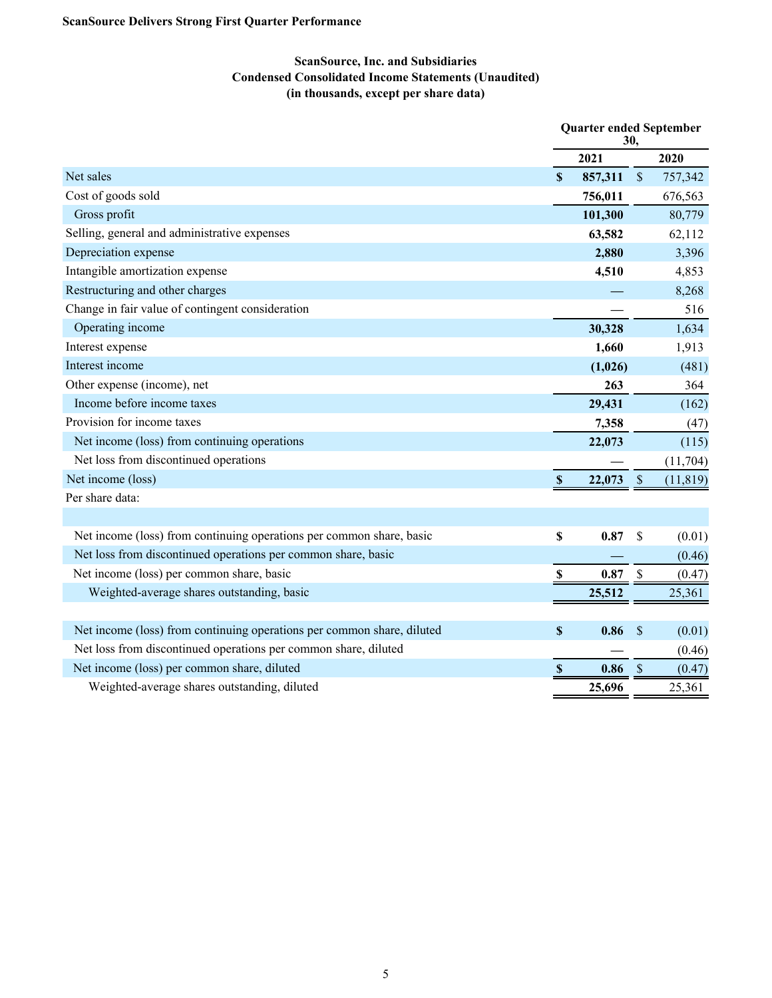# **ScanSource, Inc. and Subsidiaries Condensed Consolidated Income Statements (Unaudited) (in thousands, except per share data)**

|                                                                        | <b>Quarter ended September</b><br>30, |         |                           |           |
|------------------------------------------------------------------------|---------------------------------------|---------|---------------------------|-----------|
|                                                                        |                                       | 2021    |                           | 2020      |
| Net sales                                                              | $\boldsymbol{\mathsf{S}}$             | 857,311 | $\$$                      | 757,342   |
| Cost of goods sold                                                     |                                       | 756,011 |                           | 676,563   |
| Gross profit                                                           |                                       | 101,300 |                           | 80,779    |
| Selling, general and administrative expenses                           |                                       | 63,582  |                           | 62,112    |
| Depreciation expense                                                   |                                       | 2,880   |                           | 3,396     |
| Intangible amortization expense                                        |                                       | 4,510   |                           | 4,853     |
| Restructuring and other charges                                        |                                       |         |                           | 8,268     |
| Change in fair value of contingent consideration                       |                                       |         |                           | 516       |
| Operating income                                                       |                                       | 30,328  |                           | 1,634     |
| Interest expense                                                       |                                       | 1,660   |                           | 1,913     |
| Interest income                                                        |                                       | (1,026) |                           | (481)     |
| Other expense (income), net                                            |                                       | 263     |                           | 364       |
| Income before income taxes                                             |                                       | 29,431  |                           | (162)     |
| Provision for income taxes                                             |                                       | 7,358   |                           | (47)      |
| Net income (loss) from continuing operations                           |                                       | 22,073  |                           | (115)     |
| Net loss from discontinued operations                                  |                                       |         |                           | (11,704)  |
| Net income (loss)                                                      | $\boldsymbol{\mathsf{S}}$             | 22,073  | $\mathcal{S}$             | (11, 819) |
| Per share data:                                                        |                                       |         |                           |           |
|                                                                        |                                       |         |                           |           |
| Net income (loss) from continuing operations per common share, basic   | $\boldsymbol{\mathsf{S}}$             | 0.87    | \$                        | (0.01)    |
| Net loss from discontinued operations per common share, basic          |                                       |         |                           | (0.46)    |
| Net income (loss) per common share, basic                              | \$                                    | 0.87    | $\mathcal{S}$             | (0.47)    |
| Weighted-average shares outstanding, basic                             |                                       | 25,512  |                           | 25,361    |
|                                                                        |                                       |         |                           |           |
| Net income (loss) from continuing operations per common share, diluted | $\boldsymbol{\mathsf{S}}$             | 0.86    | $\boldsymbol{\mathsf{S}}$ | (0.01)    |
| Net loss from discontinued operations per common share, diluted        |                                       |         |                           | (0.46)    |
| Net income (loss) per common share, diluted                            | \$                                    | 0.86    | $\mathcal{S}$             | (0.47)    |
| Weighted-average shares outstanding, diluted                           |                                       | 25,696  |                           | 25,361    |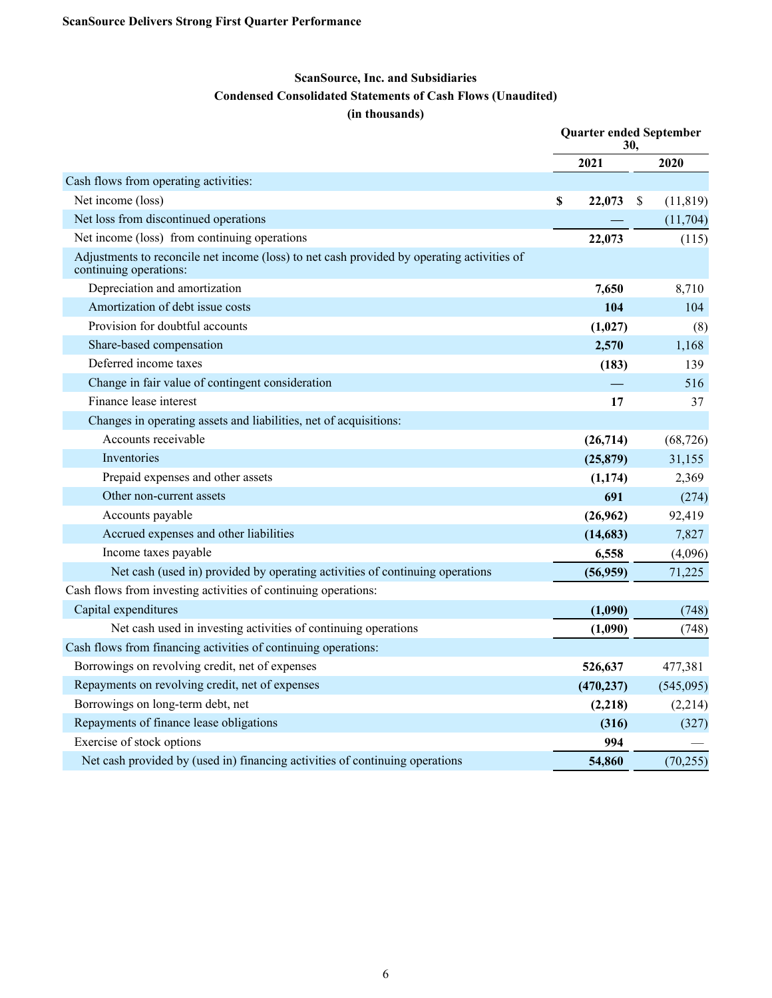# **ScanSource, Inc. and Subsidiaries**

# **Condensed Consolidated Statements of Cash Flows (Unaudited)**

### **(in thousands)**

|                                                                                                                      | <b>Quarter ended September</b><br>30. |            |    |           |
|----------------------------------------------------------------------------------------------------------------------|---------------------------------------|------------|----|-----------|
|                                                                                                                      |                                       | 2021       |    | 2020      |
| Cash flows from operating activities:                                                                                |                                       |            |    |           |
| Net income (loss)                                                                                                    | \$                                    | 22,073     | \$ | (11, 819) |
| Net loss from discontinued operations                                                                                |                                       |            |    | (11,704)  |
| Net income (loss) from continuing operations                                                                         |                                       | 22,073     |    | (115)     |
| Adjustments to reconcile net income (loss) to net cash provided by operating activities of<br>continuing operations: |                                       |            |    |           |
| Depreciation and amortization                                                                                        |                                       | 7,650      |    | 8,710     |
| Amortization of debt issue costs                                                                                     |                                       | 104        |    | 104       |
| Provision for doubtful accounts                                                                                      |                                       | (1,027)    |    | (8)       |
| Share-based compensation                                                                                             |                                       | 2,570      |    | 1,168     |
| Deferred income taxes                                                                                                |                                       | (183)      |    | 139       |
| Change in fair value of contingent consideration                                                                     |                                       |            |    | 516       |
| Finance lease interest                                                                                               |                                       | 17         |    | 37        |
| Changes in operating assets and liabilities, net of acquisitions:                                                    |                                       |            |    |           |
| Accounts receivable                                                                                                  |                                       | (26, 714)  |    | (68, 726) |
| Inventories                                                                                                          |                                       | (25, 879)  |    | 31,155    |
| Prepaid expenses and other assets                                                                                    |                                       | (1, 174)   |    | 2,369     |
| Other non-current assets                                                                                             |                                       | 691        |    | (274)     |
| Accounts payable                                                                                                     |                                       | (26,962)   |    | 92,419    |
| Accrued expenses and other liabilities                                                                               |                                       | (14,683)   |    | 7,827     |
| Income taxes payable                                                                                                 |                                       | 6,558      |    | (4,096)   |
| Net cash (used in) provided by operating activities of continuing operations                                         |                                       | (56, 959)  |    | 71,225    |
| Cash flows from investing activities of continuing operations:                                                       |                                       |            |    |           |
| Capital expenditures                                                                                                 |                                       | (1,090)    |    | (748)     |
| Net cash used in investing activities of continuing operations                                                       |                                       | (1,090)    |    | (748)     |
| Cash flows from financing activities of continuing operations:                                                       |                                       |            |    |           |
| Borrowings on revolving credit, net of expenses                                                                      |                                       | 526,637    |    | 477,381   |
| Repayments on revolving credit, net of expenses                                                                      |                                       | (470, 237) |    | (545,095) |
| Borrowings on long-term debt, net                                                                                    |                                       | (2,218)    |    | (2,214)   |
| Repayments of finance lease obligations                                                                              |                                       | (316)      |    | (327)     |
| Exercise of stock options                                                                                            |                                       | 994        |    |           |
| Net cash provided by (used in) financing activities of continuing operations                                         |                                       | 54,860     |    | (70, 255) |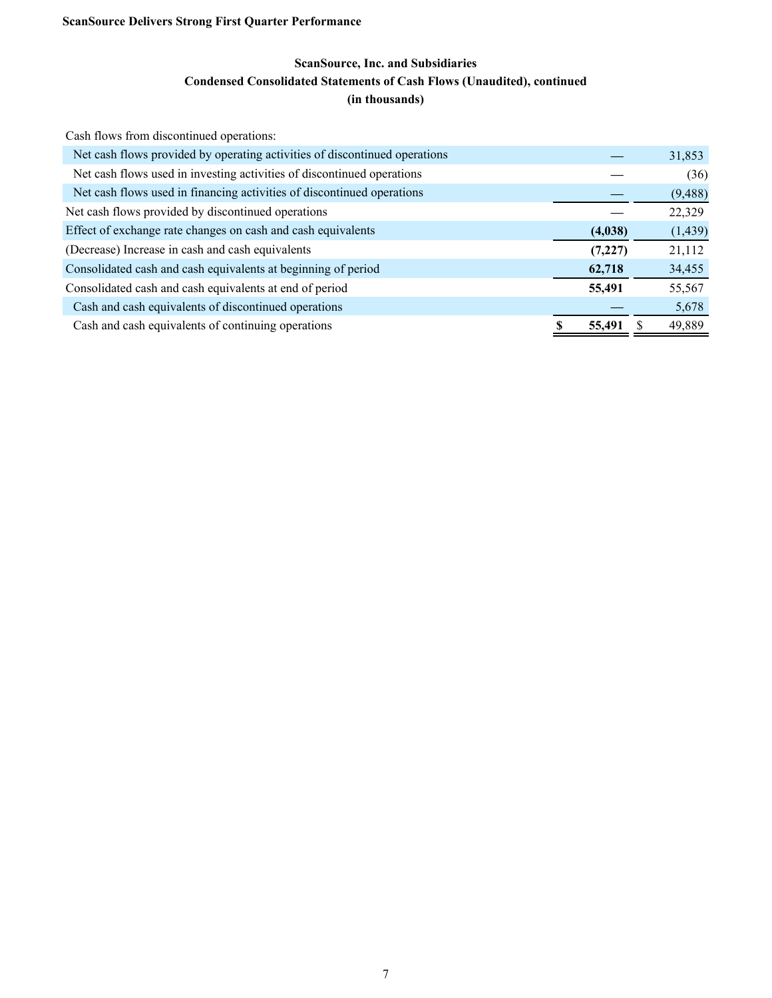# **ScanSource, Inc. and Subsidiaries Condensed Consolidated Statements of Cash Flows (Unaudited), continued (in thousands)**

| Cash flows from discontinued operations:                                   |          |          |
|----------------------------------------------------------------------------|----------|----------|
| Net cash flows provided by operating activities of discontinued operations |          | 31,853   |
| Net cash flows used in investing activities of discontinued operations     |          | (36)     |
| Net cash flows used in financing activities of discontinued operations     |          | (9, 488) |
| Net cash flows provided by discontinued operations                         |          | 22,329   |
| Effect of exchange rate changes on cash and cash equivalents               | (4,038)  | (1, 439) |
| (Decrease) Increase in cash and cash equivalents                           | (7, 227) | 21,112   |
| Consolidated cash and cash equivalents at beginning of period              | 62,718   | 34,455   |
| Consolidated cash and cash equivalents at end of period                    | 55,491   | 55,567   |
| Cash and cash equivalents of discontinued operations                       |          | 5,678    |
| Cash and cash equivalents of continuing operations                         | 55,491   | 49,889   |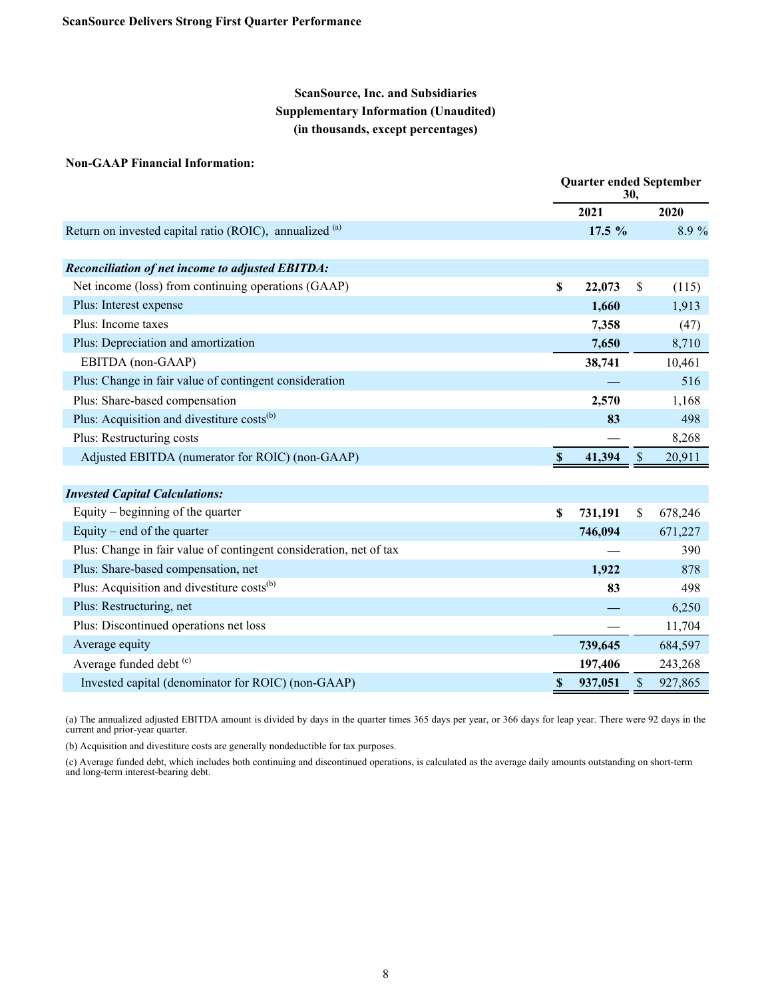# **ScanSource, Inc. and Subsidiaries Supplementary Information (Unaudited) (in thousands, except percentages)**

#### **Non-GAAP Financial Information:**

|                                                                    | <b>Quarter ended September</b><br>30, |              |         |  |
|--------------------------------------------------------------------|---------------------------------------|--------------|---------|--|
|                                                                    | 2021                                  |              | 2020    |  |
| Return on invested capital ratio (ROIC), annualized (a)            | 17.5 %                                |              | 8.9%    |  |
|                                                                    |                                       |              |         |  |
| <b>Reconciliation of net income to adjusted EBITDA:</b>            |                                       |              |         |  |
| Net income (loss) from continuing operations (GAAP)                | \$<br>22,073                          | S            | (115)   |  |
| Plus: Interest expense                                             | 1,660                                 |              | 1,913   |  |
| Plus: Income taxes                                                 | 7,358                                 |              | (47)    |  |
| Plus: Depreciation and amortization                                | 7,650                                 |              | 8,710   |  |
| EBITDA (non-GAAP)                                                  | 38,741                                |              | 10,461  |  |
| Plus: Change in fair value of contingent consideration             |                                       |              | 516     |  |
| Plus: Share-based compensation                                     | 2,570                                 |              | 1,168   |  |
| Plus: Acquisition and divestiture costs <sup>(b)</sup>             | 83                                    |              | 498     |  |
| Plus: Restructuring costs                                          |                                       |              | 8,268   |  |
| Adjusted EBITDA (numerator for ROIC) (non-GAAP)                    | 41,394                                | <sup>S</sup> | 20,911  |  |
|                                                                    |                                       |              |         |  |
| <b>Invested Capital Calculations:</b>                              |                                       |              |         |  |
| Equity – beginning of the quarter                                  | \$<br>731,191                         | $\mathbb{S}$ | 678,246 |  |
| Equity – end of the quarter                                        | 746,094                               |              | 671,227 |  |
| Plus: Change in fair value of contingent consideration, net of tax |                                       |              | 390     |  |
| Plus: Share-based compensation, net                                | 1,922                                 |              | 878     |  |
| Plus: Acquisition and divestiture costs <sup>(b)</sup>             | 83                                    |              | 498     |  |

| I Ros. I <b>requisition and all contains</b> costs | ີ       | $-7/1$  |
|----------------------------------------------------|---------|---------|
| Plus: Restructuring, net                           |         | 6,250   |
| Plus: Discontinued operations net loss             |         | 11,704  |
| Average equity                                     | 739.645 | 684,597 |
| Average funded debt (c)                            | 197.406 | 243,268 |
| Invested capital (denominator for ROIC) (non-GAAP) | 937,051 | 927,865 |

(a) The annualized adjusted EBITDA amount is divided by days in the quarter times 365 days per year, or 366 days for leap year. There were 92 days in the current and prior-year quarter.

(b) Acquisition and divestiture costs are generally nondeductible for tax purposes.

(c) Average funded debt, which includes both continuing and discontinued operations, is calculated as the average daily amounts outstanding on short-term and long-term interest-bearing debt.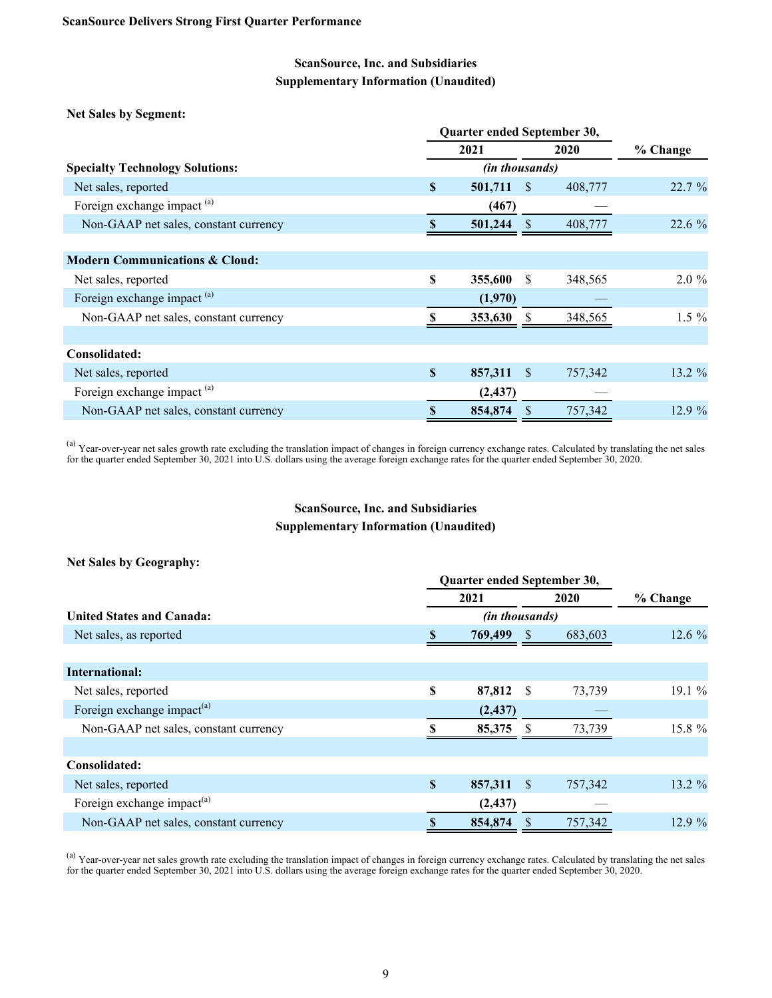# **ScanSource, Inc. and Subsidiaries Supplementary Information (Unaudited)**

**Net Sales by Segment:**

|                                           |    | Quarter ended September 30, |                       |              |         |           |  |  |
|-------------------------------------------|----|-----------------------------|-----------------------|--------------|---------|-----------|--|--|
|                                           |    | 2021                        |                       |              | 2020    | % Change  |  |  |
| <b>Specialty Technology Solutions:</b>    |    |                             | <i>(in thousands)</i> |              |         |           |  |  |
| Net sales, reported                       | S  |                             | 501,711               | -S           | 408,777 | 22.7%     |  |  |
| Foreign exchange impact <sup>(a)</sup>    |    |                             | (467)                 |              |         |           |  |  |
| Non-GAAP net sales, constant currency     |    |                             | 501,244               |              | 408,777 | 22.6%     |  |  |
|                                           |    |                             |                       |              |         |           |  |  |
| <b>Modern Communications &amp; Cloud:</b> |    |                             |                       |              |         |           |  |  |
| Net sales, reported                       | S  |                             | 355,600               | <sup>S</sup> | 348,565 | $2.0 \%$  |  |  |
| Foreign exchange impact <sup>(a)</sup>    |    |                             | (1,970)               |              |         |           |  |  |
| Non-GAAP net sales, constant currency     |    |                             | 353,630               |              | 348,565 | $1.5 \%$  |  |  |
|                                           |    |                             |                       |              |         |           |  |  |
| Consolidated:                             |    |                             |                       |              |         |           |  |  |
| Net sales, reported                       | \$ |                             | 857,311               | -S           | 757,342 | $13.2 \%$ |  |  |
| Foreign exchange impact <sup>(a)</sup>    |    |                             | (2, 437)              |              |         |           |  |  |
| Non-GAAP net sales, constant currency     | S  |                             | 854,874               |              | 757,342 | 12.9%     |  |  |

<sup>(a)</sup> Year-over-year net sales growth rate excluding the translation impact of changes in foreign currency exchange rates. Calculated by translating the net sales for the quarter ended September 30, 2021 into U.S. dollars using the average foreign exchange rates for the quarter ended September 30, 2020.

# **ScanSource, Inc. and Subsidiaries Supplementary Information (Unaudited)**

|  |  | <b>Net Sales by Geography:</b> |
|--|--|--------------------------------|
|--|--|--------------------------------|

|                                        | Quarter ended September 30, |                |     |         |          |
|----------------------------------------|-----------------------------|----------------|-----|---------|----------|
|                                        | 2021                        |                |     | 2020    | % Change |
| United States and Canada:              |                             | (in thousands) |     |         |          |
| Net sales, as reported                 |                             | 769,499        | - S | 683,603 | 12.6 %   |
|                                        |                             |                |     |         |          |
| International:                         |                             |                |     |         |          |
| Net sales, reported                    | \$                          | 87,812         | - S | 73,739  | $19.1\%$ |
| Foreign exchange impact <sup>(a)</sup> |                             | (2, 437)       |     |         |          |
| Non-GAAP net sales, constant currency  |                             | 85,375         |     | 73,739  | 15.8 %   |
|                                        |                             |                |     |         |          |
| Consolidated:                          |                             |                |     |         |          |
| Net sales, reported                    | <b>S</b>                    | 857,311        | -S  | 757,342 | 13.2 %   |
| Foreign exchange impact <sup>(a)</sup> |                             | (2, 437)       |     |         |          |
| Non-GAAP net sales, constant currency  |                             | 854,874        |     | 757,342 | 12.9%    |

 $^{(a)}$  Year-over-year net sales growth rate excluding the translation impact of changes in foreign currency exchange rates. Calculated by translating the net sales for the quarter ended September 30, 2021 into U.S. dollars using the average foreign exchange rates for the quarter ended September 30, 2020.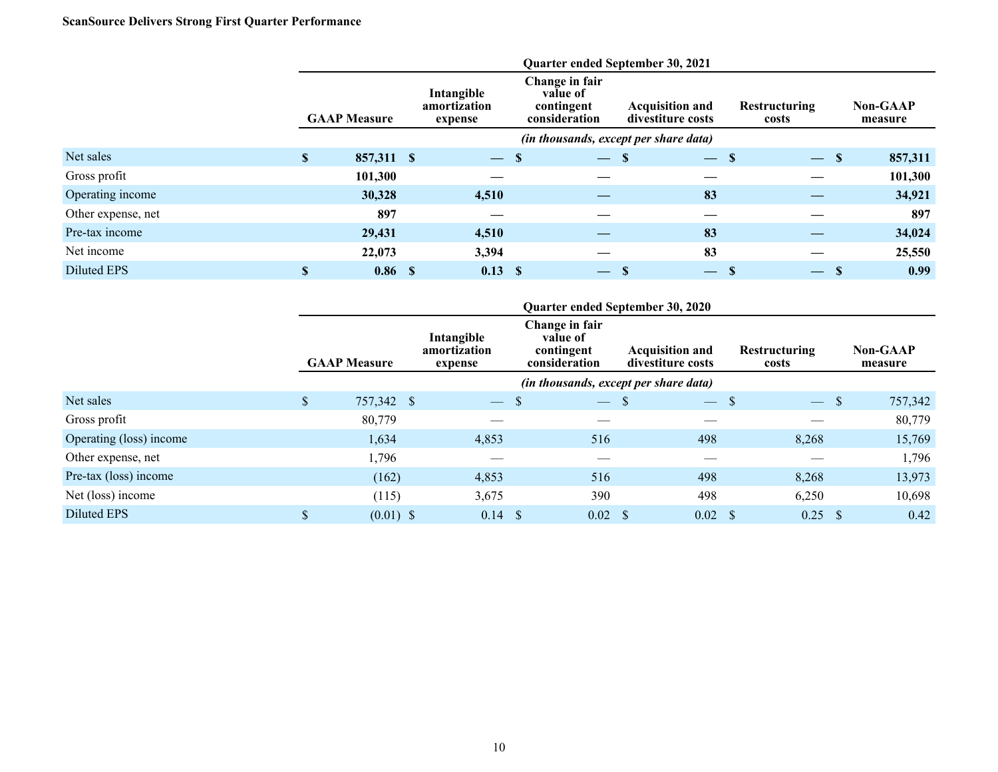# **ScanSource Delivers Strong First Quarter Performance**

|                    | Quarter ended September 30, 2021 |                   |                                       |                          |                                                           |                          |                                             |                               |                          |               |                            |  |
|--------------------|----------------------------------|-------------------|---------------------------------------|--------------------------|-----------------------------------------------------------|--------------------------|---------------------------------------------|-------------------------------|--------------------------|---------------|----------------------------|--|
|                    | <b>GAAP Measure</b>              |                   | Intangible<br>amortization<br>expense |                          | Change in fair<br>value of<br>contingent<br>consideration |                          | <b>Acquisition and</b><br>divestiture costs | <b>Restructuring</b><br>costs |                          |               | <b>Non-GAAP</b><br>measure |  |
|                    |                                  |                   |                                       |                          |                                                           |                          | (in thousands, except per share data)       |                               |                          |               |                            |  |
| Net sales          | $\mathbf{\$}$                    | 857,311 \$        |                                       | $\overline{\phantom{m}}$ | -S                                                        | $-$ \$                   | æ                                           | -S                            | $\overline{\phantom{m}}$ | $\mathbf{\$}$ | 857,311                    |  |
| Gross profit       |                                  | 101,300           |                                       |                          |                                                           |                          |                                             |                               |                          |               | 101,300                    |  |
| Operating income   |                                  | 30,328            |                                       | 4,510                    |                                                           |                          | 83                                          |                               |                          |               | 34,921                     |  |
| Other expense, net |                                  | 897               |                                       |                          |                                                           |                          |                                             |                               |                          |               | 897                        |  |
| Pre-tax income     |                                  | 29,431            |                                       | 4,510                    |                                                           |                          | 83                                          |                               |                          |               | 34,024                     |  |
| Net income         |                                  | 22,073            |                                       | 3,394                    |                                                           |                          | 83                                          |                               |                          |               | 25,550                     |  |
| Diluted EPS        | S                                | 0.86 <sup>5</sup> |                                       | $0.13$ \$                |                                                           | $\overline{\phantom{0}}$ | -S<br>$\overline{\phantom{a}}$              | S                             | $\overline{\phantom{m}}$ | <b>S</b>      | 0.99                       |  |

|                         | Quarter ended September 30, 2020 |             |  |                                       |               |                                                           |               |                                             |                               |               |               |                            |
|-------------------------|----------------------------------|-------------|--|---------------------------------------|---------------|-----------------------------------------------------------|---------------|---------------------------------------------|-------------------------------|---------------|---------------|----------------------------|
|                         | <b>GAAP Measure</b>              |             |  | Intangible<br>amortization<br>expense |               | Change in fair<br>value of<br>contingent<br>consideration |               | <b>Acquisition and</b><br>divestiture costs | <b>Restructuring</b><br>costs |               |               | <b>Non-GAAP</b><br>measure |
|                         |                                  |             |  |                                       |               | (in thousands, except per share data)                     |               |                                             |                               |               |               |                            |
| Net sales               | $\mathsf{\$}$                    | 757,342 \$  |  | $\overline{\phantom{a}}$              | S             | $\overline{\phantom{m}}$                                  | <sup>\$</sup> | $\overline{\phantom{a}}$                    | <sup>S</sup>                  | $\frac{1}{2}$ | <sup>\$</sup> | 757,342                    |
| Gross profit            |                                  | 80,779      |  |                                       |               |                                                           |               |                                             |                               |               |               | 80,779                     |
| Operating (loss) income |                                  | 1,634       |  | 4,853                                 |               | 516                                                       |               | 498                                         |                               | 8,268         |               | 15,769                     |
| Other expense, net      |                                  | 1,796       |  |                                       |               |                                                           |               |                                             |                               |               |               | 1,796                      |
| Pre-tax (loss) income   |                                  | (162)       |  | 4,853                                 |               | 516                                                       |               | 498                                         |                               | 8,268         |               | 13,973                     |
| Net (loss) income       |                                  | (115)       |  | 3,675                                 |               | 390                                                       |               | 498                                         |                               | 6,250         |               | 10,698                     |
| Diluted EPS             | \$                               | $(0.01)$ \$ |  | 0.14                                  | <sup>\$</sup> | 0.02                                                      | - \$          | 0.02                                        | -S                            | 0.25          |               | 0.42                       |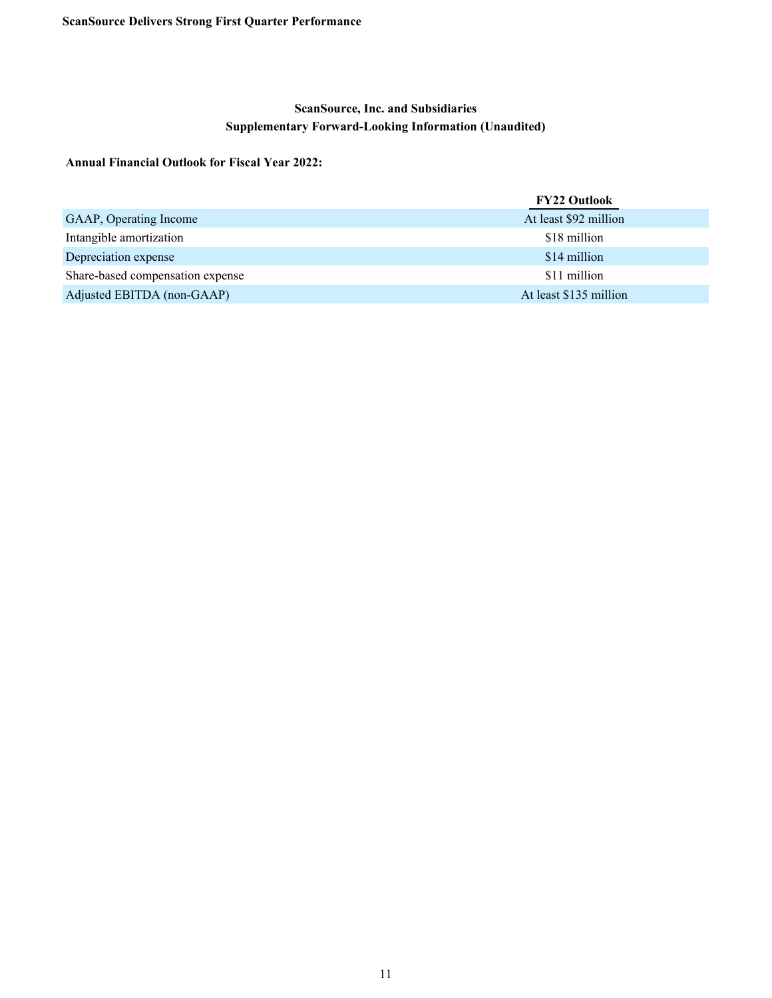# **ScanSource, Inc. and Subsidiaries Supplementary Forward-Looking Information (Unaudited)**

### **Annual Financial Outlook for Fiscal Year 2022:**

|                                  | <b>FY22 Outlook</b>    |
|----------------------------------|------------------------|
| GAAP, Operating Income           | At least \$92 million  |
| Intangible amortization          | \$18 million           |
| Depreciation expense             | \$14 million           |
| Share-based compensation expense | \$11 million           |
| Adjusted EBITDA (non-GAAP)       | At least \$135 million |